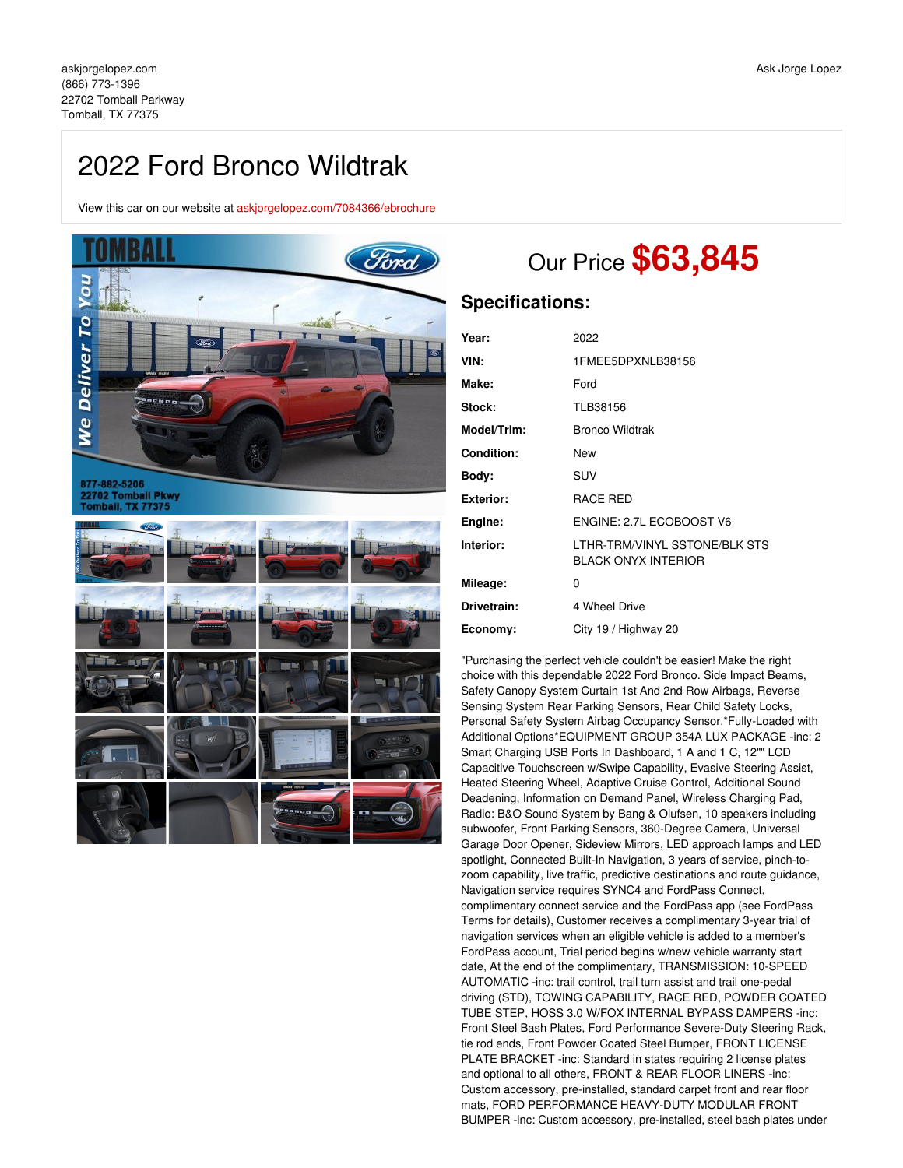## 2022 Ford Bronco Wildtrak

View this car on our website at [askjorgelopez.com/7084366/ebrochure](https://askjorgelopez.com/vehicle/7084366/2022-ford-bronco-wildtrak-tomball-tx-77375/7084366/ebrochure)



# Our Price **\$63,845**

### **Specifications:**

| Year:             | 2022                                                        |
|-------------------|-------------------------------------------------------------|
| VIN:              | 1FMEE5DPXNLB38156                                           |
| Make:             | Ford                                                        |
| Stock:            | TLB38156                                                    |
| Model/Trim:       | <b>Bronco Wildtrak</b>                                      |
| <b>Condition:</b> | New                                                         |
| Body:             | SUV                                                         |
| <b>Exterior:</b>  | RACE RED                                                    |
| Engine:           | ENGINE: 2.7L ECOBOOST V6                                    |
| Interior:         | LTHR-TRM/VINYL SSTONE/BLK STS<br><b>BLACK ONYX INTERIOR</b> |
| Mileage:          | 0                                                           |
| Drivetrain:       | 4 Wheel Drive                                               |
| Economy:          | City 19 / Highway 20                                        |

"Purchasing the perfect vehicle couldn't be easier! Make the right choice with this dependable 2022 Ford Bronco. Side Impact Beams, Safety Canopy System Curtain 1st And 2nd Row Airbags, Reverse Sensing System Rear Parking Sensors, Rear Child Safety Locks, Personal Safety System Airbag Occupancy Sensor.\*Fully-Loaded with Additional Options\*EQUIPMENT GROUP 354A LUX PACKAGE -inc: 2 Smart Charging USB Ports In Dashboard, 1 A and 1 C, 12"" LCD Capacitive Touchscreen w/Swipe Capability, Evasive Steering Assist, Heated Steering Wheel, Adaptive Cruise Control, Additional Sound Deadening, Information on Demand Panel, Wireless Charging Pad, Radio: B&O Sound System by Bang & Olufsen, 10 speakers including subwoofer, Front Parking Sensors, 360-Degree Camera, Universal Garage Door Opener, Sideview Mirrors, LED approach lamps and LED spotlight, Connected Built-In Navigation, 3 years of service, pinch-tozoom capability, live traffic, predictive destinations and route guidance, Navigation service requires SYNC4 and FordPass Connect, complimentary connect service and the FordPass app (see FordPass Terms for details), Customer receives a complimentary 3-year trial of navigation services when an eligible vehicle is added to a member's FordPass account, Trial period begins w/new vehicle warranty start date, At the end of the complimentary, TRANSMISSION: 10-SPEED AUTOMATIC -inc: trail control, trail turn assist and trail one-pedal driving (STD), TOWING CAPABILITY, RACE RED, POWDER COATED TUBE STEP, HOSS 3.0 W/FOX INTERNAL BYPASS DAMPERS -inc: Front Steel Bash Plates, Ford Performance Severe-Duty Steering Rack, tie rod ends, Front Powder Coated Steel Bumper, FRONT LICENSE PLATE BRACKET -inc: Standard in states requiring 2 license plates and optional to all others, FRONT & REAR FLOOR LINERS -inc: Custom accessory, pre-installed, standard carpet front and rear floor mats, FORD PERFORMANCE HEAVY-DUTY MODULAR FRONT BUMPER -inc: Custom accessory, pre-installed, steel bash plates under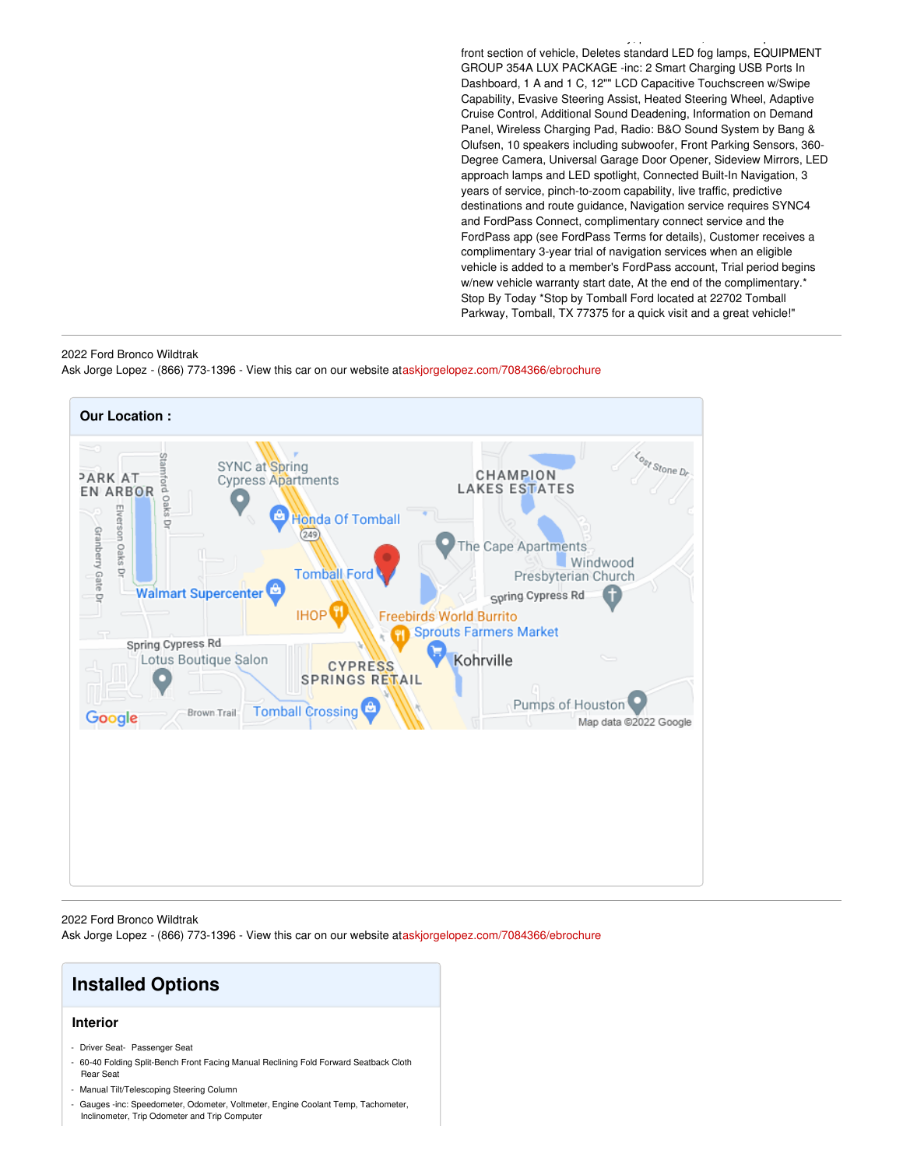front section of vehicle, Deletes standard LED fog lamps, EQUIPMENT GROUP 354A LUX PACKAGE -inc: 2 Smart Charging USB Ports In Dashboard, 1 A and 1 C, 12"" LCD Capacitive Touchscreen w/Swipe Capability, Evasive Steering Assist, Heated Steering Wheel, Adaptive Cruise Control, Additional Sound Deadening, Information on Demand Panel, Wireless Charging Pad, Radio: B&O Sound System by Bang & Olufsen, 10 speakers including subwoofer, Front Parking Sensors, 360- Degree Camera, Universal Garage Door Opener, Sideview Mirrors, LED approach lamps and LED spotlight, Connected Built-In Navigation, 3 years of service, pinch-to-zoom capability, live traffic, predictive destinations and route guidance, Navigation service requires SYNC4 and FordPass Connect, complimentary connect service and the FordPass app (see FordPass Terms for details), Customer receives a complimentary 3-year trial of navigation services when an eligible vehicle is added to a member's FordPass account, Trial period begins w/new vehicle warranty start date, At the end of the complimentary.\* Stop By Today \*Stop by Tomball Ford located at 22702 Tomball Parkway, Tomball, TX 77375 for a quick visit and a great vehicle!"

BUMPER -inc: Custom accessory, pre-installed, steel bash plates under

#### 2022 Ford Bronco Wildtrak

Ask Jorge Lopez - (866) 773-1396 - View this car on our website at[askjorgelopez.com/7084366/ebrochure](https://askjorgelopez.com/vehicle/7084366/2022-ford-bronco-wildtrak-tomball-tx-77375/7084366/ebrochure)



2022 Ford Bronco Wildtrak

Ask Jorge Lopez - (866) 773-1396 - View this car on our website at[askjorgelopez.com/7084366/ebrochure](https://askjorgelopez.com/vehicle/7084366/2022-ford-bronco-wildtrak-tomball-tx-77375/7084366/ebrochure)

## **Installed Options**

#### **Interior**

- Driver Seat- Passenger Seat
- 60-40 Folding Split-Bench Front Facing Manual Reclining Fold Forward Seatback Cloth Rear Seat
- Manual Tilt/Telescoping Steering Column
- Gauges -inc: Speedometer, Odometer, Voltmeter, Engine Coolant Temp, Tachometer, Inclinometer, Trip Odometer and Trip Computer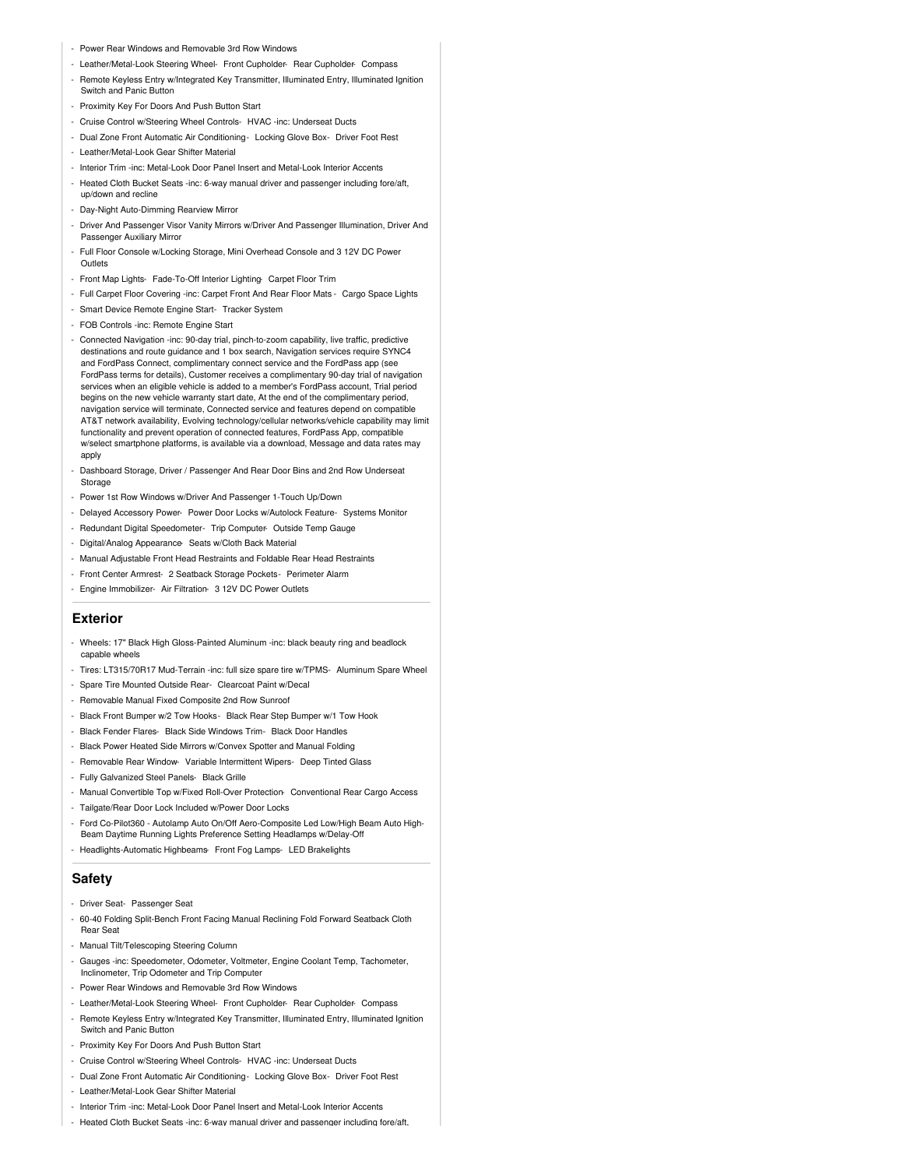- Power Rear Windows and Removable 3rd Row Windows
- Leather/Metal-Look Steering Wheel- Front Cupholder- Rear Cupholder- Compass
- Remote Keyless Entry w/Integrated Key Transmitter, Illuminated Entry, Illuminated Ignition Switch and Panic Button
- Proximity Key For Doors And Push Button Start
- Cruise Control w/Steering Wheel Controls- HVAC -inc: Underseat Ducts
- Dual Zone Front Automatic Air Conditioning- Locking Glove Box- Driver Foot Rest
- Leather/Metal-Look Gear Shifter Material
- Interior Trim -inc: Metal-Look Door Panel Insert and Metal-Look Interior Accents
- Heated Cloth Bucket Seats -inc: 6-way manual driver and passenger including fore/aft, up/down and recline
- Day-Night Auto-Dimming Rearview Mirror
- Driver And Passenger Visor Vanity Mirrors w/Driver And Passenger Illumination, Driver And Passenger Auxiliary Mirror
- Full Floor Console w/Locking Storage, Mini Overhead Console and 3 12V DC Power **Outlets**
- Front Map Lights- Fade-To-Off Interior Lighting- Carpet Floor Trim
- Full Carpet Floor Covering -inc: Carpet Front And Rear Floor Mats Cargo Space Lights
- Smart Device Remote Engine Start- Tracker System
- FOB Controls -inc: Remote Engine Start
- Connected Navigation -inc: 90-day trial, pinch-to-zoom capability, live traffic, predictive destinations and route guidance and 1 box search, Navigation services require SYNC4 and FordPass Connect, complimentary connect service and the FordPass app (see FordPass terms for details), Customer receives a complimentary 90-day trial of navigation services when an eligible vehicle is added to a member's FordPass account, Trial period begins on the new vehicle warranty start date, At the end of the complimentary period, navigation service will terminate, Connected service and features depend on compatible AT&T network availability, Evolving technology/cellular networks/vehicle capability may limit functionality and prevent operation of connected features, FordPass App, compatible w/select smartphone platforms, is available via a download, Message and data rates may apply
- Dashboard Storage, Driver / Passenger And Rear Door Bins and 2nd Row Underseat Storage
- Power 1st Row Windows w/Driver And Passenger 1-Touch Up/Down
- Delayed Accessory Power- Power Door Locks w/Autolock Feature- Systems Monitor
- Redundant Digital Speedometer- Trip Computer- Outside Temp Gauge
- Digital/Analog Appearance- Seats w/Cloth Back Material
- Manual Adjustable Front Head Restraints and Foldable Rear Head Restraints
- Front Center Armrest- 2 Seatback Storage Pockets- Perimeter Alarm
- Engine Immobilizer- Air Filtration- 3 12V DC Power Outlets

#### **Exterior**

- Wheels: 17" Black High Gloss-Painted Aluminum -inc: black beauty ring and beadlock capable wheels
- Tires: LT315/70R17 Mud-Terrain -inc: full size spare tire w/TPMS- Aluminum Spare Wheel
- Spare Tire Mounted Outside Rear- Clearcoat Paint w/Decal
- Removable Manual Fixed Composite 2nd Row Sunroof
- Black Front Bumper w/2 Tow Hooks- Black Rear Step Bumper w/1 Tow Hook
- Black Fender Flares- Black Side Windows Trim- Black Door Handles
- Black Power Heated Side Mirrors w/Convex Spotter and Manual Folding
- Removable Rear Window- Variable Intermittent Wipers- Deep Tinted Glass
- Fully Galvanized Steel Panels- Black Grille
- Manual Convertible Top w/Fixed Roll-Over Protection- Conventional Rear Cargo Access
- Tailgate/Rear Door Lock Included w/Power Door Locks
- Ford Co-Pilot360 Autolamp Auto On/Off Aero-Composite Led Low/High Beam Auto High-Beam Daytime Running Lights Preference Setting Headlamps w/Delay-Off - Headlights-Automatic Highbeams- Front Fog Lamps- LED Brakelights

#### **Safety**

- Driver Seat- Passenger Seat
- 60-40 Folding Split-Bench Front Facing Manual Reclining Fold Forward Seatback Cloth Rear Seat
- Manual Tilt/Telescoping Steering Column
- Gauges -inc: Speedometer, Odometer, Voltmeter, Engine Coolant Temp, Tachometer, Inclinometer, Trip Odometer and Trip Computer
- Power Rear Windows and Removable 3rd Row Windows
- Leather/Metal-Look Steering Wheel- Front Cupholder- Rear Cupholder- Compass
- Remote Keyless Entry w/Integrated Key Transmitter, Illuminated Entry, Illuminated Ignition Switch and Panic Button
- Proximity Key For Doors And Push Button Start
- Cruise Control w/Steering Wheel Controls- HVAC -inc: Underseat Ducts
- Dual Zone Front Automatic Air Conditioning- Locking Glove Box- Driver Foot Rest
- Leather/Metal-Look Gear Shifter Material
- Interior Trim -inc: Metal-Look Door Panel Insert and Metal-Look Interior Accents
- Heated Cloth Bucket Seats -inc: 6-wav manual driver and passenger including fore/aft.